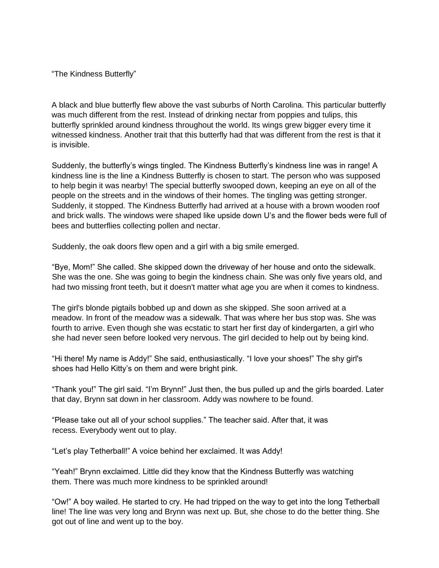"The Kindness Butterfly"

A black and blue butterfly flew above the vast suburbs of North Carolina. This particular butterfly was much different from the rest. Instead of drinking nectar from poppies and tulips, this butterfly sprinkled around kindness throughout the world. Its wings grew bigger every time it witnessed kindness. Another trait that this butterfly had that was different from the rest is that it is invisible.

Suddenly, the butterfly's wings tingled. The Kindness Butterfly's kindness line was in range! A kindness line is the line a Kindness Butterfly is chosen to start. The person who was supposed to help begin it was nearby! The special butterfly swooped down, keeping an eye on all of the people on the streets and in the windows of their homes. The tingling was getting stronger. Suddenly, it stopped. The Kindness Butterfly had arrived at a house with a brown wooden roof and brick walls. The windows were shaped like upside down U's and the flower beds were full of bees and butterflies collecting pollen and nectar.

Suddenly, the oak doors flew open and a girl with a big smile emerged.

"Bye, Mom!" She called. She skipped down the driveway of her house and onto the sidewalk. She was the one. She was going to begin the kindness chain. She was only five years old, and had two missing front teeth, but it doesn't matter what age you are when it comes to kindness.

The girl's blonde pigtails bobbed up and down as she skipped. She soon arrived at a meadow. In front of the meadow was a sidewalk. That was where her bus stop was. She was fourth to arrive. Even though she was ecstatic to start her first day of kindergarten, a girl who she had never seen before looked very nervous. The girl decided to help out by being kind.

"Hi there! My name is Addy!" She said, enthusiastically. "I love your shoes!" The shy girl's shoes had Hello Kitty's on them and were bright pink.

"Thank you!" The girl said. "I'm Brynn!" Just then, the bus pulled up and the girls boarded. Later that day, Brynn sat down in her classroom. Addy was nowhere to be found.

"Please take out all of your school supplies." The teacher said. After that, it was recess. Everybody went out to play.

"Let's play Tetherball!" A voice behind her exclaimed. It was Addy!

"Yeah!" Brynn exclaimed. Little did they know that the Kindness Butterfly was watching them. There was much more kindness to be sprinkled around!

"Ow!" A boy wailed. He started to cry. He had tripped on the way to get into the long Tetherball line! The line was very long and Brynn was next up. But, she chose to do the better thing. She got out of line and went up to the boy.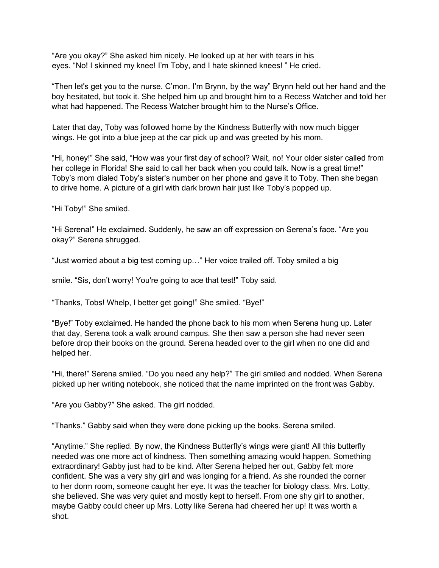"Are you okay?" She asked him nicely. He looked up at her with tears in his eyes. "No! I skinned my knee! I'm Toby, and I hate skinned knees! " He cried.

"Then let's get you to the nurse. C'mon. I'm Brynn, by the way" Brynn held out her hand and the boy hesitated, but took it. She helped him up and brought him to a Recess Watcher and told her what had happened. The Recess Watcher brought him to the Nurse's Office.

Later that day, Toby was followed home by the Kindness Butterfly with now much bigger wings. He got into a blue jeep at the car pick up and was greeted by his mom.

"Hi, honey!" She said, "How was your first day of school? Wait, no! Your older sister called from her college in Florida! She said to call her back when you could talk. Now is a great time!" Toby's mom dialed Toby's sister's number on her phone and gave it to Toby. Then she began to drive home. A picture of a girl with dark brown hair just like Toby's popped up.

"Hi Toby!" She smiled.

"Hi Serena!" He exclaimed. Suddenly, he saw an off expression on Serena's face. "Are you okay?" Serena shrugged.

"Just worried about a big test coming up…" Her voice trailed off. Toby smiled a big

smile. "Sis, don't worry! You're going to ace that test!" Toby said.

"Thanks, Tobs! Whelp, I better get going!" She smiled. "Bye!"

"Bye!" Toby exclaimed. He handed the phone back to his mom when Serena hung up. Later that day, Serena took a walk around campus. She then saw a person she had never seen before drop their books on the ground. Serena headed over to the girl when no one did and helped her.

"Hi, there!" Serena smiled. "Do you need any help?" The girl smiled and nodded. When Serena picked up her writing notebook, she noticed that the name imprinted on the front was Gabby.

"Are you Gabby?" She asked. The girl nodded.

"Thanks." Gabby said when they were done picking up the books. Serena smiled.

"Anytime." She replied. By now, the Kindness Butterfly's wings were giant! All this butterfly needed was one more act of kindness. Then something amazing would happen. Something extraordinary! Gabby just had to be kind. After Serena helped her out, Gabby felt more confident. She was a very shy girl and was longing for a friend. As she rounded the corner to her dorm room, someone caught her eye. It was the teacher for biology class. Mrs. Lotty, she believed. She was very quiet and mostly kept to herself. From one shy girl to another, maybe Gabby could cheer up Mrs. Lotty like Serena had cheered her up! It was worth a shot.